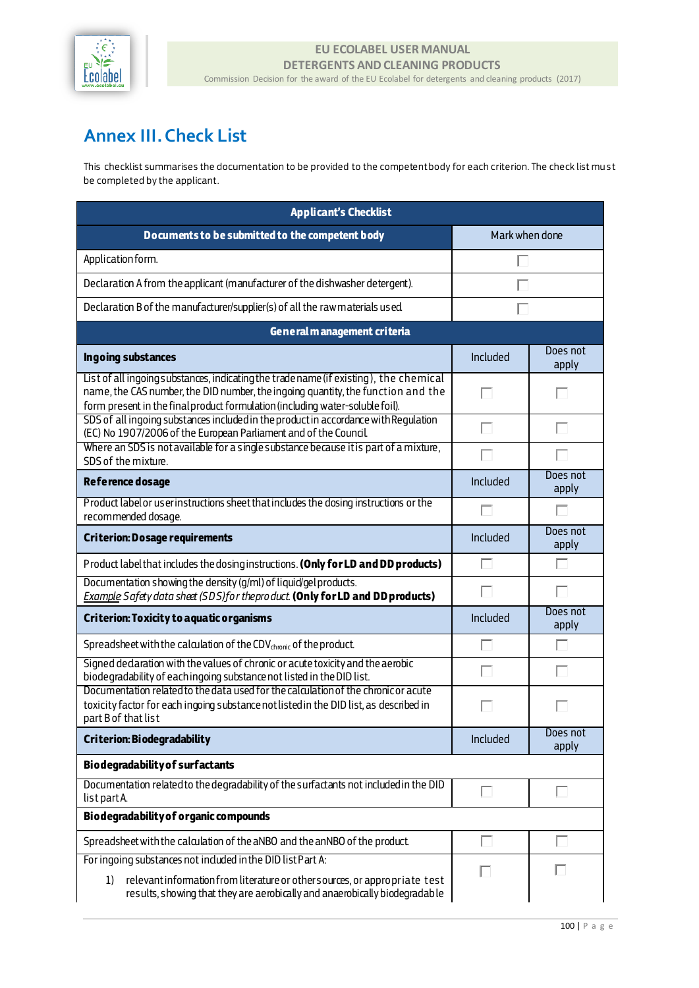

## **Annex III. Check List**

This checklist summarises the documentation to be provided to the competent body for each criterion. The check list must be completed by the applicant.

| <b>Applicant's Checklist</b>                                                                                                                                                                                                                               |                |                   |  |  |
|------------------------------------------------------------------------------------------------------------------------------------------------------------------------------------------------------------------------------------------------------------|----------------|-------------------|--|--|
| Documents to be submitted to the competent body                                                                                                                                                                                                            | Mark when done |                   |  |  |
| Application form.                                                                                                                                                                                                                                          |                |                   |  |  |
| Declaration A from the applicant (manufacturer of the dishwasher detergent).                                                                                                                                                                               |                |                   |  |  |
| Declaration B of the manufacturer/supplier(s) of all the raw materials used.                                                                                                                                                                               |                |                   |  |  |
| General management criteria                                                                                                                                                                                                                                |                |                   |  |  |
| Ingoing substances                                                                                                                                                                                                                                         | Included       | Does not<br>apply |  |  |
| List of all ingoing substances, indicating the trade name (if existing), the chemical<br>name, the CAS number, the DID number, the ingoing quantity, the function and the<br>form present in the final product formulation (including water-soluble foil). | H              | H                 |  |  |
| SDS of all ingoing substances included in the product in accordance with Regulation<br>(EC) No 1907/2006 of the European Parliament and of the Council.                                                                                                    | П              | П                 |  |  |
| Where an SDS is not available for a single substance because it is part of a mixture,<br>SDS of the mixture.                                                                                                                                               | П              |                   |  |  |
| Reference dosage                                                                                                                                                                                                                                           | Included       | Does not<br>apply |  |  |
| Product label or user instructions sheet that includes the dosing instructions or the<br>recommended dosage.                                                                                                                                               | П              | L.                |  |  |
| <b>Criterion: Do sage requirements</b>                                                                                                                                                                                                                     | Included       | Does not<br>apply |  |  |
| Product label that includes the dosing instructions. (Only for LD and DD products)                                                                                                                                                                         |                |                   |  |  |
| Documentation showing the density (g/ml) of liquid/gel products.<br><b>Example Safety data sheet (SDS)for the product. (Only for LD and DD products)</b>                                                                                                   |                |                   |  |  |
| <b>Criterion: Toxicity to aquatic organisms</b>                                                                                                                                                                                                            | Included       | Does not<br>apply |  |  |
| Spreadsheet with the calculation of the CDV <sub>chronic</sub> of the product.                                                                                                                                                                             | L.             | П                 |  |  |
| Signed declaration with the values of chronic or acute toxicity and the aerobic<br>biodegradability of each ingoing substance not listed in the DID list.                                                                                                  |                |                   |  |  |
| Documentation related to the data used for the calculation of the chronic or acute<br>toxicity factor for each ingoing substance not listed in the DID list, as described in<br>part B of that list                                                        |                |                   |  |  |
| Criterion: Biodegradability                                                                                                                                                                                                                                | Included       | Does not<br>apply |  |  |
| <b>Biodegradability of surfactants</b>                                                                                                                                                                                                                     |                |                   |  |  |
| Documentation related to the degradability of the surfactants not included in the DID<br>list part A.                                                                                                                                                      | П              | П                 |  |  |
| Biodegradability of organic compounds                                                                                                                                                                                                                      |                |                   |  |  |
| Spreadsheet with the calculation of the aNBO and the anNBO of the product.                                                                                                                                                                                 | П              | L                 |  |  |
| For ingoing substances not included in the DID list Part A:                                                                                                                                                                                                | H              |                   |  |  |
| relevant information from literature or other sources, or appropriate test<br>1)<br>results, showing that they are aerobically and anaerobically biodegradable                                                                                             |                |                   |  |  |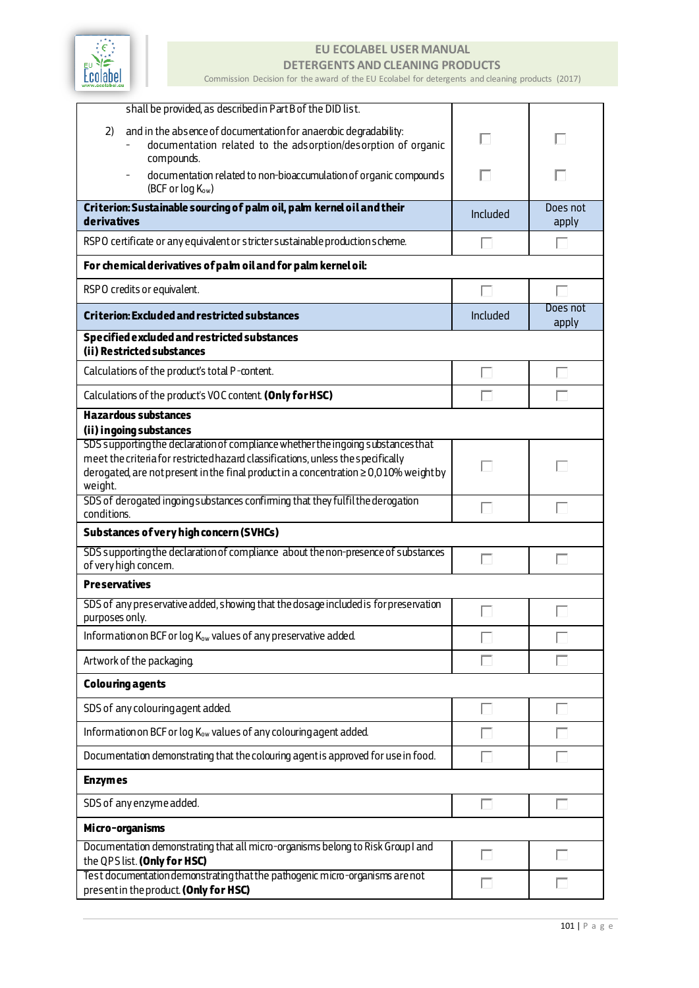

## **EU ECOLABEL USER MANUAL**

**DETERGENTS AND CLEANING PRODUCTS**

Commission Decision for the award of the EU Ecolabel for detergents and cleaning products (2017)

| shall be provided, as described in Part B of the DID list.                                                                                                                                                                                                                    |          |                   |  |  |
|-------------------------------------------------------------------------------------------------------------------------------------------------------------------------------------------------------------------------------------------------------------------------------|----------|-------------------|--|--|
| 2)<br>and in the absence of documentation for anaerobic degradability:<br>documentation related to the adsorption/desorption of organic<br>compounds.                                                                                                                         | П        |                   |  |  |
| documentation related to non-bioaccumulation of organic compounds<br>(BCF or $log K_{ow}$ )                                                                                                                                                                                   | H        |                   |  |  |
| Criterion: Sustainable sourcing of palm oil, palm kernel oil and their<br>derivatives                                                                                                                                                                                         | Included | Does not<br>apply |  |  |
| RSPO certificate or any equivalent or stricter sustainable production scheme.                                                                                                                                                                                                 | П        | П                 |  |  |
| For chemical derivatives of palm oil and for palm kernel oil:                                                                                                                                                                                                                 |          |                   |  |  |
| RSPO credits or equivalent.                                                                                                                                                                                                                                                   | П        |                   |  |  |
| <b>Criterion: Excluded and restricted substances</b>                                                                                                                                                                                                                          | Included | Does not<br>apply |  |  |
| Specified excluded and restricted substances<br>(ii) Restricted substances                                                                                                                                                                                                    |          |                   |  |  |
| Calculations of the product's total P-content.                                                                                                                                                                                                                                | П        | П                 |  |  |
| Calculations of the product's VOC content (Only for HSC)                                                                                                                                                                                                                      |          |                   |  |  |
| <b>Hazardous substances</b><br>(ii) ingoing substances                                                                                                                                                                                                                        |          |                   |  |  |
| SDS supporting the declaration of compliance whether the ingoing substances that<br>meet the criteria for restricted hazard classifications, unless the specifically<br>derogated, are not present in the final product in a concentration $\geq$ 0,010% weight by<br>weight. | H        |                   |  |  |
| SDS of derogated ingoing substances confirming that they fulfil the derogation<br>conditions.                                                                                                                                                                                 | П        |                   |  |  |
| Substances of very high concern (SVHCs)                                                                                                                                                                                                                                       |          |                   |  |  |
| SDS supporting the declaration of compliance about the non-presence of substances<br>of very high concem.                                                                                                                                                                     |          |                   |  |  |
| <b>Preservatives</b>                                                                                                                                                                                                                                                          |          |                   |  |  |
| SDS of any preservative added, showing that the dosage included is for preservation<br>purposes only.                                                                                                                                                                         |          |                   |  |  |
| Information on BCF or log K <sub>ow</sub> values of any preservative added.                                                                                                                                                                                                   |          |                   |  |  |
| Artwork of the packaging.                                                                                                                                                                                                                                                     |          |                   |  |  |
| <b>Colouring agents</b>                                                                                                                                                                                                                                                       |          |                   |  |  |
| SDS of any colouring agent added.                                                                                                                                                                                                                                             | П        |                   |  |  |
| Information on BCF or log K <sub>ow</sub> values of any colouring agent added.                                                                                                                                                                                                |          |                   |  |  |
| Documentation demonstrating that the colouring agent is approved for use in food.                                                                                                                                                                                             |          |                   |  |  |
| <b>Enzymes</b>                                                                                                                                                                                                                                                                |          |                   |  |  |
| SDS of any enzyme added.                                                                                                                                                                                                                                                      | П        |                   |  |  |
| Micro-organisms                                                                                                                                                                                                                                                               |          |                   |  |  |
| Documentation demonstrating that all micro-organisms belong to Risk Group I and<br>the QPS list. (Only for HSC)                                                                                                                                                               | П        |                   |  |  |
| Test documentation demonstrating that the pathogenic micro-organisms are not<br>presentin the product. (Only for HSC)                                                                                                                                                         | П        |                   |  |  |